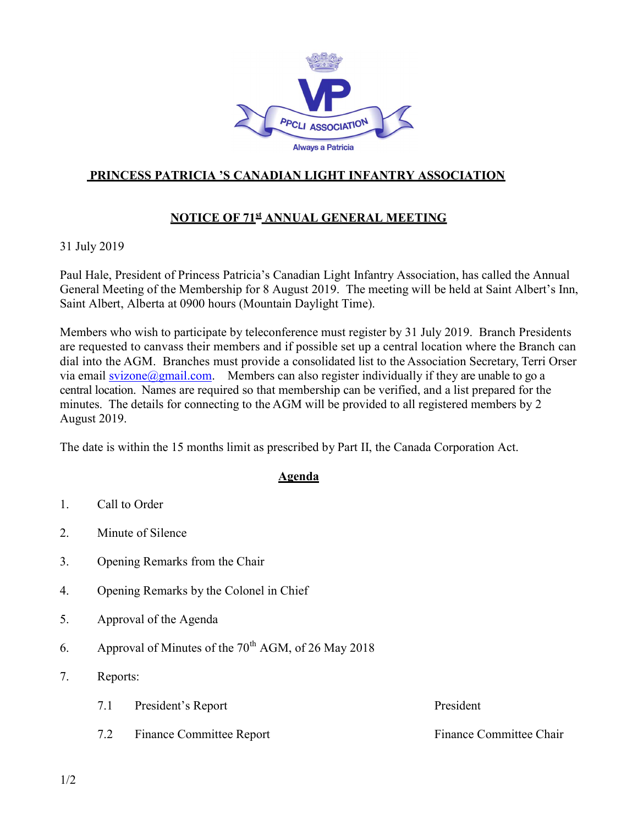

## PRINCESS PATRICIA 'S CANADIAN LIGHT INFANTRY ASSOCIATION

## NOTICE OF 71<sup>st</sup> ANNUAL GENERAL MEETING

31 July 2019

Paul Hale, President of Princess Patricia's Canadian Light Infantry Association, has called the Annual General Meeting of the Membership for 8 August 2019. The meeting will be held at Saint Albert's Inn, Saint Albert, Alberta at 0900 hours (Mountain Daylight Time).

Members who wish to participate by teleconference must register by 31 July 2019. Branch Presidents are requested to canvass their members and if possible set up a central location where the Branch can dial into the AGM. Branches must provide a consolidated list to the Association Secretary, Terri Orser via email svizone@gmail.com. Members can also register individually if they are unable to go a central location. Names are required so that membership can be verified, and a list prepared for the minutes. The details for connecting to the AGM will be provided to all registered members by 2 August 2019.

The date is within the 15 months limit as prescribed by Part II, the Canada Corporation Act.

## **Agenda**

- 1. Call to Order
- 2. Minute of Silence
- 3. Opening Remarks from the Chair
- 4. Opening Remarks by the Colonel in Chief
- 5. Approval of the Agenda
- 6. Approval of Minutes of the  $70^{th}$  AGM, of 26 May 2018
- 7. Reports:
	- 7.1 President's Report President
	- 7.2 Finance Committee Report Finance Committee Chair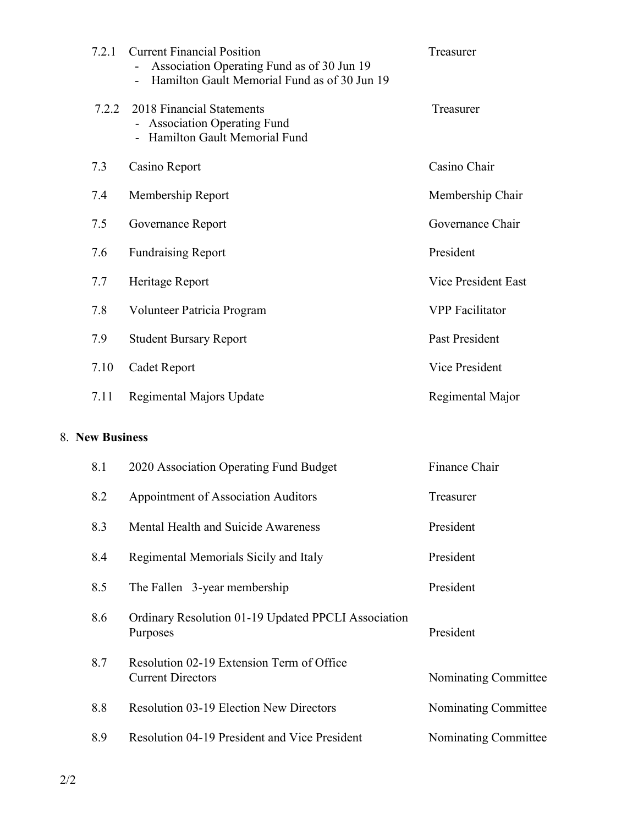| 7.2.1 | <b>Current Financial Position</b><br>Association Operating Fund as of 30 Jun 19<br>Hamilton Gault Memorial Fund as of 30 Jun 19 | Treasurer                  |
|-------|---------------------------------------------------------------------------------------------------------------------------------|----------------------------|
| 7.2.2 | 2018 Financial Statements<br><b>Association Operating Fund</b><br>Hamilton Gault Memorial Fund                                  | Treasurer                  |
| 7.3   | Casino Report                                                                                                                   | Casino Chair               |
| 7.4   | Membership Report                                                                                                               | Membership Chair           |
| 7.5   | Governance Report                                                                                                               | Governance Chair           |
| 7.6   | <b>Fundraising Report</b>                                                                                                       | President                  |
| 7.7   | Heritage Report                                                                                                                 | <b>Vice President East</b> |
| 7.8   | Volunteer Patricia Program                                                                                                      | <b>VPP</b> Facilitator     |
| 7.9   | <b>Student Bursary Report</b>                                                                                                   | Past President             |
| 7.10  | Cadet Report                                                                                                                    | Vice President             |
| 7.11  | Regimental Majors Update                                                                                                        | Regimental Major           |

## 8. New Business

| 8.1 | 2020 Association Operating Fund Budget                                | Finance Chair        |
|-----|-----------------------------------------------------------------------|----------------------|
| 8.2 | Appointment of Association Auditors                                   | Treasurer            |
| 8.3 | Mental Health and Suicide Awareness                                   | President            |
| 8.4 | Regimental Memorials Sicily and Italy                                 | President            |
| 8.5 | The Fallen 3-year membership                                          | President            |
| 8.6 | Ordinary Resolution 01-19 Updated PPCLI Association<br>Purposes       | President            |
| 8.7 | Resolution 02-19 Extension Term of Office<br><b>Current Directors</b> | Nominating Committee |
| 8.8 | <b>Resolution 03-19 Election New Directors</b>                        | Nominating Committee |
| 8.9 | <b>Resolution 04-19 President and Vice President</b>                  | Nominating Committee |